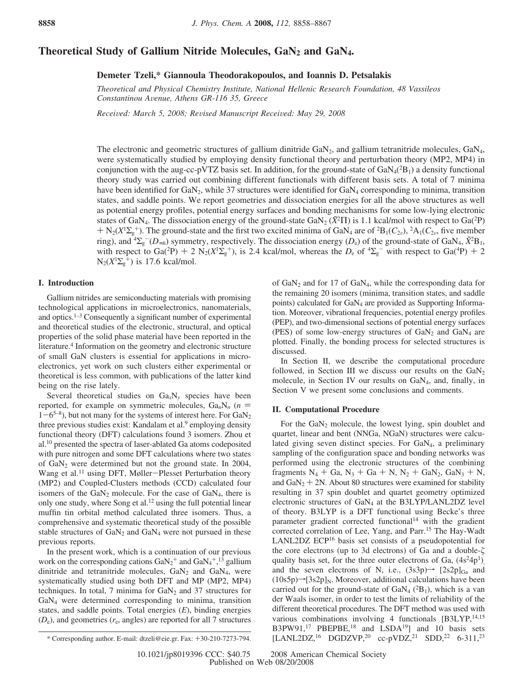# Theoretical Study of Gallium Nitride Molecules, GaN<sub>2</sub> and GaN<sub>4</sub>.

### **Demeter Tzeli,\* Giannoula Theodorakopoulos, and Ioannis D. Petsalakis**

*Theoretical and Physical Chemistry Institute, National Hellenic Research Foundation, 48 Vassileos Constantinou A*V*enue, Athens GR-116 35, Greece*

*Recei*V*ed: March 5, 2008; Re*V*ised Manuscript Recei*V*ed: May 29, 2008*

The electronic and geometric structures of gallium dinitride  $GaN<sub>2</sub>$ , and gallium tetranitride molecules,  $GaN<sub>4</sub>$ , were systematically studied by employing density functional theory and perturbation theory (MP2, MP4) in conjunction with the aug-cc-pVTZ basis set. In addition, for the ground-state of  $GaN_4(^2B_1)$  a density functional theory study was carried out combining different functionals with different basis sets. A total of 7 minima have been identified for GaN<sub>2</sub>, while 37 structures were identified for GaN<sub>4</sub> corresponding to minima, transition states, and saddle points. We report geometries and dissociation energies for all the above structures as well as potential energy profiles, potential energy surfaces and bonding mechanisms for some low-lying electronic states of GaN<sub>4</sub>. The dissociation energy of the ground-state GaN<sub>2</sub> ( $\tilde{X}^2\Pi$ ) is 1.1 kcal/mol with respect to Ga( $^2P$ )  $+ N_2(X^1\Sigma_g^+)$ . The ground-state and the first two excited minima of GaN<sub>4</sub> are of <sup>2</sup>B<sub>1</sub>( $C_{2\nu}$ ), <sup>2</sup>A<sub>1</sub>( $C_{2\nu}$ ), five member<br>ring) and <sup>4</sup>N  $^-(D)$  is symmetry respectively. The dissociation energy (D) of the groun ring), and  ${}^4\Sigma_g^-$  ( $D_{\infty h}$ ) symmetry, respectively. The dissociation energy ( $D_e$ ) of the ground-state of GaN<sub>4</sub>,  $\tilde{X}^2$ B<sub>1</sub>, with respect to Ga(<sup>2</sup>P) + 2 N<sub>2</sub>( $X^1\Sigma_g^+$ ), is 2.4 kcal/mol, whereas the  $D_e$  of  ${}^4\Sigma_g^-$  with respect to Ga(<sup>4</sup>P) + 2 N<sub>2</sub>( $X^1\Sigma_f^+$ ) is 17.6 kcal/mol  $N_2(X^1\Sigma_g^+)$  is 17.6 kcal/mol.

### **I. Introduction**

Gallium nitrides are semiconducting materials with promising technological applications in microelectronics, nanomaterials, and optics.1–3 Consequently a significant number of experimental and theoretical studies of the electronic, structural, and optical properties of the solid phase material have been reported in the literature.4 Information on the geometry and electronic structure of small GaN clusters is essential for applications in microelectronics, yet work on such clusters either experimental or theoretical is less common, with publications of the latter kind being on the rise lately.

Several theoretical studies on  $Ga_xN_y$  species have been reported, for example on symmetric molecules,  $Ga_nN_n$  ( $n =$  $1-6^{5-8}$ ), but not many for the systems of interest here. For  $GaN<sub>2</sub>$ three previous studies exist: Kandalam et al.<sup>9</sup> employing density functional theory (DFT) calculations found 3 isomers. Zhou et al.10 presented the spectra of laser-ablated Ga atoms codeposited with pure nitrogen and some DFT calculations where two states of GaN2 were determined but not the ground state. In 2004, Wang et al.<sup>11</sup> using DFT, Møller-Plesset Perturbation theory (MP2) and Coupled-Clusters methods (CCD) calculated four isomers of the  $GaN<sub>2</sub>$  molecule. For the case of  $GaN<sub>4</sub>$ , there is only one study, where Song et al.12 using the full potential linear muffin tin orbital method calculated three isomers. Thus, a comprehensive and systematic theoretical study of the possible stable structures of  $GaN_2$  and  $GaN_4$  were not pursued in these previous reports.

In the present work, which is a continuation of our previous work on the corresponding cations  $\text{GaN}_2^+$  and  $\text{GaN}_4^+,^{13}$  gallium dinitride and tetranitride molecules,  $GaN_2$  and  $GaN_4$ , were systematically studied using both DFT and MP (MP2, MP4) techniques. In total, 7 minima for  $GaN<sub>2</sub>$  and 37 structures for GaN4 were determined corresponding to minima, transition states, and saddle points. Total energies (*E*), binding energies  $(D_e)$ , and geometries  $(r_e$ , angles) are reported for all 7 structures of GaN2 and for 17 of GaN4, while the corresponding data for the remaining 20 isomers (minima, transition states, and saddle points) calculated for GaN4 are provided as Supporting Information. Moreover, vibrational frequencies, potential energy profiles (PEP), and two-dimensional sections of potential energy surfaces (PES) of some low-energy structures of  $GaN<sub>2</sub>$  and  $GaN<sub>4</sub>$  are plotted. Finally, the bonding process for selected structures is discussed.

In Section II, we describe the computational procedure followed, in Section III we discuss our results on the  $GaN<sub>2</sub>$ molecule, in Section IV our results on GaN4, and, finally, in Section V we present some conclusions and comments.

#### **II. Computational Procedure**

For the GaN<sub>2</sub> molecule, the lowest lying, spin doublet and quartet, linear and bent (NNGa, NGaN) structures were calculated giving seven distinct species. For GaN<sub>4</sub>, a preliminary sampling of the configuration space and bonding networks was performed using the electronic structures of the combining fragments  $N_4 + Ga$ ,  $N_3 + Ga + N$ ,  $N_2 + GaN_2$ ,  $GaN_3 + N$ , and  $GaN_2 + 2N$ . About 80 structures were examined for stability resulting in 37 spin doublet and quartet geometry optimized electronic structures of GaN4 at the B3LYP/LANL2DZ level of theory. B3LYP is a DFT functional using Becke's three parameter gradient corrected functional<sup>14</sup> with the gradient corrected correlation of Lee, Yang, and Parr.15 The Hay-Wadt LANL2DZ ECP16 basis set consists of a pseudopotential for the core electrons (up to 3d electrons) of Ga and a double quality basis set, for the three outer electrons of Ga,  $(4s^24p^1)$ and the seven electrons of N, i.e.,  $(3s3p) \rightarrow [2s2p]_{Ga}$  and  $(10s5p) \rightarrow [3s2p]_N$ . Moreover, additional calculations have been carried out for the ground-state of  $GaN<sub>4</sub>$  ( ${}^{2}B<sub>1</sub>$ ), which is a van der Waals isomer, in order to test the limits of reliability of the different theoretical procedures. The DFT method was used with various combinations involving 4 functionals [B3LYP,<sup>14,15</sup>] B3PW91,<sup>17</sup> PBEPBE,<sup>18</sup> and LSDA<sup>19</sup>] and 10 basis sets \* Corresponding author. E-mail: dtzeli@eie.gr. Fax: +30-210-7273-794. [LANL2DZ,<sup>16</sup> DGDZVP,<sup>20</sup> cc-pVDZ,<sup>21</sup> SDD,<sup>22</sup> 6-311,<sup>23</sup>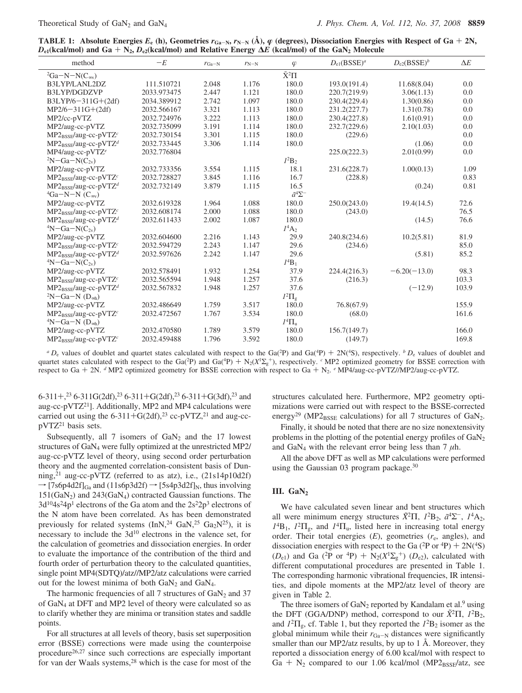**TABLE 1:** Absolute Energies  $E_e$  (h), Geometries  $r_{Ga-N}$ ,  $r_{N-N}$  (Å),  $\varphi$  (degrees), Dissociation Energies with Respect of Ga + 2N,  $D_{e1}$ (kcal/mol) and Ga +  $N_2$ ,  $D_{e2}$ (kcal/mol) and Relative Energy  $\Delta E$  (kcal/mol) of the GaN<sub>2</sub> Molecule

| method                           | $-E$        | $r_{\text{Ga-N}}$ | $r_{N-N}$ | $\varphi$             | $D_{e1}$ (BSSE) <sup>a</sup> | $D_{e2}$ (BSSE) <sup>b</sup> | $\Delta E$ |
|----------------------------------|-------------|-------------------|-----------|-----------------------|------------------------------|------------------------------|------------|
| ${}^{2}Ga-N-N(C_{\infty}$        |             |                   |           | $\tilde{X}^2\Pi$      |                              |                              |            |
| B3LYP/LANL2DZ                    | 111.510721  | 2.048             | 1.176     | 180.0                 | 193.0(191.4)                 | 11.68(8.04)                  | 0.0        |
| B3LYP/DGDZVP                     | 2033.973475 | 2.447             | 1.121     | 180.0                 | 220.7(219.9)                 | 3.06(1.13)                   | 0.0        |
| B3LYP/6-311G+(2df)               | 2034.389912 | 2.742             | 1.097     | 180.0                 | 230.4(229.4)                 | 1.30(0.86)                   | 0.0        |
| $MP2/6 - 311G + (2df)$           | 2032.566167 | 3.321             | 1.113     | 180.0                 | 231.2(227.7)                 | 1.31(0.78)                   | 0.0        |
| MP2/cc-pVTZ                      | 2032.724976 | 3.222             | 1.113     | 180.0                 | 230.4(227.8)                 | 1.61(0.91)                   | 0.0        |
| MP2/aug-cc-pVTZ                  | 2032.735099 | 3.191             | 1.114     | 180.0                 | 232.7(229.6)                 | 2.10(1.03)                   | 0.0        |
| $MP2_{BSE}/aug-cc-pVTZc$         | 2032.730154 | 3.301             | 1.115     | 180.0                 | (229.6)                      |                              | 0.0        |
| $MP2_{BSSF}/aug-cc-pVTZd$        | 2032.733445 | 3.306             | 1.114     | 180.0                 |                              | (1.06)                       | 0.0        |
| $MP4/aug-cc-pVTZe$               | 2032.776804 |                   |           |                       | 225.0(222.3)                 | 2.01(0.99)                   | 0.0        |
| $2N-Ga-N(C_{2v})$                |             |                   |           | $I^2B_2$              |                              |                              |            |
| MP2/aug-cc-pVTZ                  | 2032.733356 | 3.554             | 1.115     | 18.1                  | 231.6(228.7)                 | 1.00(0.13)                   | 1.09       |
| $MP2_{BSE}/aug-cc-pVTZc$         | 2032.728827 | 3.845             | 1.116     | 16.7                  | (228.8)                      |                              | 0.83       |
| $MP2_{BSSF}/aug-cc-pVTZd$        | 2032.732149 | 3.879             | 1.115     | 16.5                  |                              | (0.24)                       | 0.81       |
| ${}^4Ga-N-N$ (C <sub>∞v</sub> )  |             |                   |           | $\tilde{a}^4\Sigma^-$ |                              |                              |            |
| MP2/aug-cc-pVTZ                  | 2032.619328 | 1.964             | 1.088     | 180.0                 | 250.0(243.0)                 | 19.4(14.5)                   | 72.6       |
| MP2BSSE/aug-cc-pVTZ <sup>c</sup> | 2032.608174 | 2.000             | 1.088     | 180.0                 | (243.0)                      |                              | 76.5       |
| $MP2_{BSE}/aug-cc-pVTZd$         | 2032.611433 | 2.002             | 1.087     | 180.0                 |                              | (14.5)                       | 76.6       |
| $4N-Ga-N(C_{2v})$                |             |                   |           | $I^4A_2$              |                              |                              |            |
| MP2/aug-cc-pVTZ                  | 2032.604600 | 2.216             | 1.143     | 29.9                  | 240.8(234.6)                 | 10.2(5.81)                   | 81.9       |
| $MP2_{BSSF}/aug-cc-pVTZc$        | 2032.594729 | 2.243             | 1.147     | 29.6                  | (234.6)                      |                              | 85.0       |
| $MP2_{BSSF}/aug-cc-pVTZd$        | 2032.597626 | 2.242             | 1.147     | 29.6                  |                              | (5.81)                       | 85.2       |
| $\rm ^4N-Ga-N(C_{2v})$           |             |                   |           | $I^4B_1$              |                              |                              |            |
| MP2/aug-cc-pVTZ                  | 2032.578491 | 1.932             | 1.254     | 37.9                  | 224.4(216.3)                 | $-6.20(-13.0)$               | 98.3       |
| $MP2_{BSSF}/aug-cc-pVTZc$        | 2032.565594 | 1.948             | 1.257     | 37.6                  | (216.3)                      |                              | 103.3      |
| $MP2_{BSSF}/aug-cc-pVTZd$        | 2032.567832 | 1.948             | 1.257     | 37.6                  |                              | $(-12.9)$                    | 103.9      |
| $2N-Ga-N(D_{\text{coh}})$        |             |                   |           | $l^2\Pi_{\rm g}$      |                              |                              |            |
| MP2/aug-cc-pVTZ                  | 2032.486649 | 1.759             | 3.517     | 180.0                 | 76.8(67.9)                   |                              | 155.9      |
| $MP2_{BSSF}/aug-cc-pVTZc$        | 2032.472567 | 1.767             | 3.534     | 180.0                 | (68.0)                       |                              | 161.6      |
| $4N-Ga-N(Dcoh)$                  |             |                   |           | $I^4\Pi_{\rm u}$      |                              |                              |            |
| MP2/aug-cc-pVTZ                  | 2032.470580 | 1.789             | 3.579     | 180.0                 | 156.7(149.7)                 |                              | 166.0      |
| $MP2_{BSSF}/aug-cc-pVTZc$        | 2032.459488 | 1.796             | 3.592     | 180.0                 | (149.7)                      |                              | 169.8      |
|                                  |             |                   |           |                       |                              |                              |            |

 ${}^aD_e$  values of doublet and quartet states calculated with respect to the Ga(<sup>2</sup>P) and Ga(<sup>4</sup>P) + 2N(<sup>4</sup>S), respectively. *b D*<sub>e</sub> values of doublet and arter states calculated with respect to the Ga(<sup>2</sup>P) and Ga(<sup>4</sup>P quartet states calculated with respect to the Ga(<sup>2</sup>P) and Ga(<sup>4</sup>P) + N<sub>2</sub>( $X^1\Sigma_g^+$ ), respectively. *c* MP2 optimized geometry for BSSE correction with respect to Ga + N<sub>2</sub>  $\epsilon$  MP4/aug-cc-nVT7//MP2/aug-cc-nVT7 respect to Ga <sup>+</sup> 2N. *<sup>d</sup>* MP2 optimized geometry for BSSE correction with respect to Ga + N2. *<sup>e</sup>* MP4/aug-cc-pVTZ//MP2/aug-cc-pVTZ.

6-311+,<sup>23</sup> 6-311G(2df),<sup>23</sup> 6-311+G(2df),<sup>23</sup> 6-311+G(3df),<sup>23</sup> and<br>aug-cc-pVTZ<sup>21</sup>1. Additionally, MP2 and MP4 calculations were aug-cc-pVTZ<sup>21</sup>]. Additionally, MP2 and MP4 calculations were carried out using the 6-311+G(2df),<sup>23</sup> cc-pVTZ,<sup>21</sup> and aug-ccpVTZ<sup>21</sup> basis sets.

Subsequently, all  $7$  isomers of  $GaN<sub>2</sub>$  and the 17 lowest structures of GaN4 were fully optimized at the unrestricted MP2/ aug-cc-pVTZ level of theory, using second order perturbation theory and the augmented correlation-consistent basis of Dunning,<sup>21</sup> aug-cc-pVTZ (referred to as atz), i.e.,  $(21s14p10d2f)$  $\rightarrow$  [7s6p4d2f]<sub>Ga</sub> and (11s6p3d2f)  $\rightarrow$  [5s4p3d2f]<sub>N</sub>, thus involving  $151(GaN<sub>2</sub>)$  and  $243(GaN<sub>4</sub>)$  contracted Gaussian functions. The  $3d^{10}4s^24p^1$  electrons of the Ga atom and the  $2s^22p^3$  electrons of the N atom have been correlated. As has been demonstrated previously for related systems  $(InN, <sup>24</sup> GaN, <sup>25</sup> Ga<sub>2</sub>N<sup>25</sup>)$ , it is necessary to include the  $3d^{10}$  electrons in the valence set, for the calculation of geometries and dissociation energies. In order to evaluate the importance of the contribution of the third and fourth order of perturbation theory to the calculated quantities, single point MP4(SDTQ)/atz//MP2/atz calculations were carried out for the lowest minima of both  $GaN_2$  and  $GaN_4$ .

The harmonic frequencies of all 7 structures of  $GaN<sub>2</sub>$  and 37 of GaN4 at DFT and MP2 level of theory were calculated so as to clarify whether they are minima or transition states and saddle points.

For all structures at all levels of theory, basis set superposition error (BSSE) corrections were made using the counterpoise procedure<sup>26,27</sup> since such corrections are especially important for van der Waals systems,<sup>28</sup> which is the case for most of the

structures calculated here. Furthermore, MP2 geometry optimizations were carried out with respect to the BSSE-corrected energy<sup>29</sup> (MP2<sub>BSSE</sub> calculations) for all 7 structures of GaN<sub>2</sub>.

Finally, it should be noted that there are no size nonextensivity problems in the plotting of the potential energy profiles of GaN<sub>2</sub> and GaN<sub>4</sub> with the relevant error being less than 7  $\mu$ h.

All the above DFT as well as MP calculations were performed using the Gaussian 03 program package.<sup>30</sup>

#### **III.** GaN<sub>2</sub>

We have calculated seven linear and bent structures which all were minimum energy structures  $\tilde{X}^2\Pi$ ,  $I^2B_2$ ,  $\tilde{a}^4\Sigma^-$ ,  $I^4A_2$ , *1*4B1, *1*<sup>2</sup>Πg, and *1*<sup>4</sup>Πu, listed here in increasing total energy order. Their total energies (*E*), geometries (*r*e, angles), and dissociation energies with respect to the Ga  $(^{2}P$  or  $^{4}P) + 2N(^{4}S)$  $(D<sub>e1</sub>)$  and Ga (<sup>2</sup>P or <sup>4</sup>P) + N<sub>2</sub>( $X<sup>1</sup>\Sigma<sub>g</sub><sup>+</sup>$ ) (*D<sub>e2</sub>*), calculated with different computational procedures are presented in Table 1 different computational procedures are presented in Table 1. The corresponding harmonic vibrational frequencies, IR intensities, and dipole moments at the MP2/atz level of theory are given in Table 2.

The three isomers of  $GaN_2$  reported by Kandalam et al.<sup>9</sup> using the DFT (GGA/DNP) method, correspond to our  $\tilde{X}^2\Pi$ ,  $I^2B_2$ , and  $I^2\Pi_{g}$ , cf. Table 1, but they reported the  $I^2B_2$  isomer as the global minimum while their  $r_{Ga-N}$  distances were significantly smaller than our MP2/atz results, by up to 1 Å. Moreover, they reported a dissociation energy of 6.00 kcal/mol with respect to Ga +  $N_2$  compared to our 1.06 kcal/mol (MP2 $_{BSSE}/$ atz, see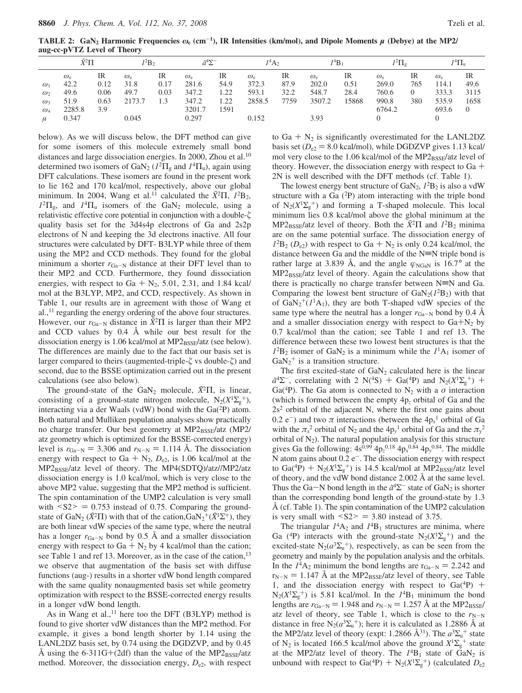**TABLE 2: GaN2 Harmonic Frequencies** *ω***<sup>e</sup> (cm**-**1), IR Intensities (km/mol), and Dipole Moments** *µ* **(Debye) at the MP2/ aug-cc-pVTZ Level of Theory**

|                                                    | $\tilde{X}^2\Pi$                                   |                                   | $l^2B_2$                                   |                           | $\tilde{a}^4\Sigma^-$                                 |                                    | $I^4A_2$                                 |                            | $I^4B_1$                                     |                             | $^{12}\Pi_{\sigma}$                                   |                  | $I^4\Pi_{\rm u}$                                     |                                        |
|----------------------------------------------------|----------------------------------------------------|-----------------------------------|--------------------------------------------|---------------------------|-------------------------------------------------------|------------------------------------|------------------------------------------|----------------------------|----------------------------------------------|-----------------------------|-------------------------------------------------------|------------------|------------------------------------------------------|----------------------------------------|
| $\omega_1$<br>$\omega_2$<br>$\omega$<br>$\omega_4$ | $\omega_{\rm e}$<br>42.2<br>49.6<br>51.9<br>2285.8 | IR<br>0.12<br>0.06<br>0.63<br>3.9 | $\omega_{\rm e}$<br>31.8<br>49.7<br>2173.7 | IR<br>0.17<br>0.03<br>1.3 | $\omega_{\rm e}$<br>281.6<br>347.2<br>347.2<br>3201.7 | IR<br>54.9<br>1.22<br>1.22<br>.591 | $\omega_{e}$<br>372.3<br>593.1<br>2858.5 | IR<br>87.9<br>32.2<br>7759 | $\omega_{\rm e}$<br>202.0<br>548.7<br>3507.2 | IR<br>0.51<br>28.4<br>15868 | $\omega_{\rm e}$<br>269.0<br>760.6<br>990.8<br>6764.2 | IR<br>765<br>380 | $\omega_{\rm e}$<br>114.1<br>333.3<br>535.9<br>693.6 | IR<br>49.6<br>3115<br>1658<br>$\Omega$ |
|                                                    | 0.347                                              |                                   | 0.045                                      |                           | 0.297                                                 |                                    | 0.152                                    |                            | 3.93                                         |                             |                                                       |                  |                                                      |                                        |

below). As we will discuss below, the DFT method can give for some isomers of this molecule extremely small bond distances and large dissociation energies. In 2000, Zhou et al.<sup>10</sup> determined two isomers of GaN<sub>2</sub> ( $I^2\Pi$ <sub>g</sub> and  $I^4\Pi$ <sub>u</sub>), again using DFT calculations. These isomers are found in the present work to lie 162 and 170 kcal/mol, respectively, above our global minimum. In 2004, Wang et al.<sup>11</sup> calculated the  $\tilde{X}^2\Pi$ ,  $I^2B_2$ ,  $1^2\Pi_{\rm g}$ , and  $1^4\Pi_{\rm u}$  isomers of the GaN<sub>2</sub> molecule, using a relativistic effective core potential in conjunction with a double- $\zeta$ quality basis set for the 3d4s4p electrons of Ga and 2s2p electrons of N and keeping the 3d electrons inactive. All four structures were calculated by DFT- B3LYP while three of them using the MP2 and CCD methods. They found for the global minimum a shorter  $r_{Ga-N}$  distance at their DFT level than to their MP2 and CCD. Furthermore, they found dissociation energies, with respect to Ga +  $N_2$ , 5.01, 2.31, and 1.84 kcal/ mol at the B3LYP, MP2, and CCD, respectively. As shown in Table 1, our results are in agreement with those of Wang et al.,11 regarding the energy ordering of the above four structures. However, our  $r_{Ga-N}$  distance in  $\tilde{X}^2\Pi$  is larger than their MP2 and CCD values by 0.4 Å while our best result for the dissociation energy is  $1.06$  kcal/mol at MP2 $_{\rm BSSF}/\text{atz}$  (see below). The differences are mainly due to the fact that our basis set is larger compared to theirs (augmented-triple- $\zeta$  vs double- $\zeta$ ) and second, due to the BSSE optimization carried out in the present calculations (see also below).

The ground-state of the  $GaN_2$  molecule,  $\tilde{X}^2\Pi$ , is linear, consisting of a ground-state nitrogen molecule,  $N_2(X^1\Sigma_g^+)$ , interacting via a der Waals (vdW) bond with the  $Ga(^{2}P)$  atom. Both natural and Mulliken population analyses show practically no charge transfer. Our best geometry at MP2BSSE/atz (MP2/ atz geometry which is optimized for the BSSE-corrected energy) level is  $r_{Ga-N} = 3.306$  and  $r_{N-N} = 1.114$  Å. The dissociation energy with respect to Ga +  $N_2$ ,  $D_{e2}$ , is 1.06 kcal/mol at the MP2BSSE/atz level of theory. The MP4(SDTQ)/atz//MP2/atz dissociation energy is 1.0 kcal/mol, which is very close to the above MP2 value, suggesting that the MP2 method is sufficient. The spin contamination of the UMP2 calculation is very small with  $\langle S2 \rangle = 0.753$  instead of 0.75. Comparing the groundstate of GaN<sub>2</sub> ( $\tilde{X}^2\Pi$ ) with that of the cation,  $\text{GaN}_2^+(\tilde{X}^1\Sigma^+)$ , they are both linear vdW species of the same type, where the neutral has a longer  $r_{Ga-N}$  bond by 0.5 Å and a smaller dissociation energy with respect to Ga  $+$  N<sub>2</sub> by 4 kcal/mol than the cation; see Table 1 and ref 13. Moreover, as in the case of the cation,<sup>13</sup> we observe that augmentation of the basis set with diffuse functions (aug-) results in a shorter vdW bond length compared with the same quality nonaugmented basis set while geometry optimization with respect to the BSSE-corrected energy results in a longer vdW bond length.

As in Wang et al., $^{11}$  here too the DFT (B3LYP) method is found to give shorter vdW distances than the MP2 method. For example, it gives a bond length shorter by 1.14 using the LANL2DZ basis set, by 0.74 using the DGDZVP, and by 0.45 Å using the 6-311G+(2df) than the value of the  $MP2_{BSSE}/\text{atz}$ method. Moreover, the dissociation energy,  $D_{e2}$ , with respect to Ga  $+ N_2$  is significantly overestimated for the LANL2DZ basis set ( $D_{e2}$  = 8.0 kcal/mol), while DGDZVP gives 1.13 kcal/ mol very close to the 1.06 kcal/mol of the  $MP2_{BSE}/\text{atz}$  level of theory. However, the dissociation energy with respect to  $Ga +$ 2N is well described with the DFT methods (cf. Table 1).

The lowest energy bent structure of  $GaN_2$ ,  $1^2B_2$  is also a vdW structure with a Ga  $(^{2}P)$  atom interacting with the triple bond of  $N_2(X^1\Sigma_g^+)$  and forming a T-shaped molecule. This local minimum lies 0.8 kcal/mol above the global minimum at the MP2<sub>BSSE</sub>/atz level of theory. Both the  $\tilde{X}$ <sup>2</sup>Π and  $I$ <sup>2</sup>B<sub>2</sub> minima are on the same potential surface. The dissociation energy of  $I^{2}B_{2}$  ( $D_{e2}$ ) with respect to Ga + N<sub>2</sub> is only 0.24 kcal/mol, the distance between Ga and the middle of the  $N=N$  triple bond is rather large at 3.839 Å, and the angle  $\varphi_{\text{NGaN}}$  is 16.7° at the  $MP2_{BSSE}/atz$  level of theory. Again the calculations show that there is practically no charge transfer between  $N=N$  and Ga. Comparing the lowest bent structure of  $\text{GaN}_2(I^2B_2)$  with that of  $\text{GaN}_2^+(I^1\text{A}_1)$ , they are both T-shaped vdW species of the same type where the neutral has a longer  $r_{Ga-N}$  bond by 0.4 Å and a smaller dissociation energy with respect to  $Ga+N_2$  by 0.7 kcal/mol than the cation; see Table 1 and ref 13. The difference between these two lowest bent structures is that the  $1^{2}B_{2}$  isomer of GaN<sub>2</sub> is a minimum while the  $1^{1}A_{1}$  isomer of  $GaN_2$ <sup>+</sup> is a transition structure.

The first excited-state of  $GaN<sub>2</sub>$  calculated here is the linear  $\tilde{a}^4\Sigma^-$ , correlating with 2 N(<sup>4</sup>S) + Ga(<sup>4</sup>P) and N<sub>2</sub>( $X^1\Sigma_g^+$ ) + Ga(<sup>4</sup>P). The Ga atom is connected to N<sub>2</sub> with a  $\sigma$  interaction Ga(<sup>4</sup>P). The Ga atom is connected to N<sub>2</sub> with a  $\sigma$  interaction (which is formed between the empty 4p*<sup>z</sup>* orbital of Ga and the  $2s<sup>2</sup>$  orbital of the adjacent N, where the first one gains about  $(0.2 e^-)$  and two  $\pi$  interactions (between the  $4p_x$ <sup>1</sup> orbital of Ga with the  $\pi_{x}^{2}$  orbital of N<sub>2</sub> and the 4p<sub>y</sub><sup>1</sup> orbital of Ga and the  $\pi_{y}^{2}$ orbital of  $N_2$ ). The natural population analysis for this structure gives Ga the following:  $4s^{0.99}$   $4p_z^{0.18}$   $4p_x^{0.84}$   $4p_y^{0.84}$ . The middle N atom gains about  $0.2 e^-$ . The dissociation energy with respect to Ga(<sup>4</sup>P) +  $N_2(X^1\Sigma_g^+)$  is 14.5 kcal/mol at MP2<sub>BSSE</sub>/atz level<br>of theory and the vdW bond distance 2.002 Å at the same level of theory, and the vdW bond distance 2.002 Å at the same level. Thus the Ga-N bond length in the  $\tilde{a}^4\Sigma^-$  state of GaN<sub>2</sub> is shorter than the corresponding bond length of the ground-state by 1.3 Å (cf. Table 1). The spin contamination of the UMP2 calculation is very small with  $\langle S2 \rangle = 3.80$  instead of 3.75.

The triangular  $I^4A_2$  and  $I^4B_1$  structures are minima, where Ga (<sup>4</sup>P) interacts with the ground-state  $N_2(X^1\Sigma_g^+)$  and the excited-state  $N_2(a^3\Sigma_u^+)$ , respectively, as can be seen from the geometry and mainly by the population analysis and the orbitals. In the  $I^4A_2$  minimum the bond lengths are  $r_{Ga-N} = 2.242$  and  $r_{N-N} = 1.147$  Å at the MP2<sub>BSSE</sub>/atz level of theory, see Table 1, and the dissociation energy with respect to  $Ga(^{4}P)$  +  $N_2(X^1\Sigma_g^+)$  is 5.81 kcal/mol. In the  $I^4B_1$  minimum the bond lengths are  $r_{Ga-N} = 1.948$  and  $r_{N-N} = 1.257$  Å at the MP2<sub>BSSE</sub>/ atz level of theory, see Table 1, which is close to the  $r_{N-N}$ distance in free  $N_2(a^3\Sigma_u^+)$ ; here it is calculated as 1.2886 Å at the MP2/atz level of theory (expt: 1.2866  $\AA^{31}$ ). The  $a^3\Sigma_u^+$  state of N<sub>2</sub> is located 166.5 kcal/mol above the ground  $X^1\Sigma_g^+$  state at the MP2/atz level of theory. The  $1^4B_1$  state of  $GaN_2$  is unbound with respect to Ga(<sup>4</sup>P) +  $N_2(X^1\Sigma_g^+)$  (calculated  $D_{e2}$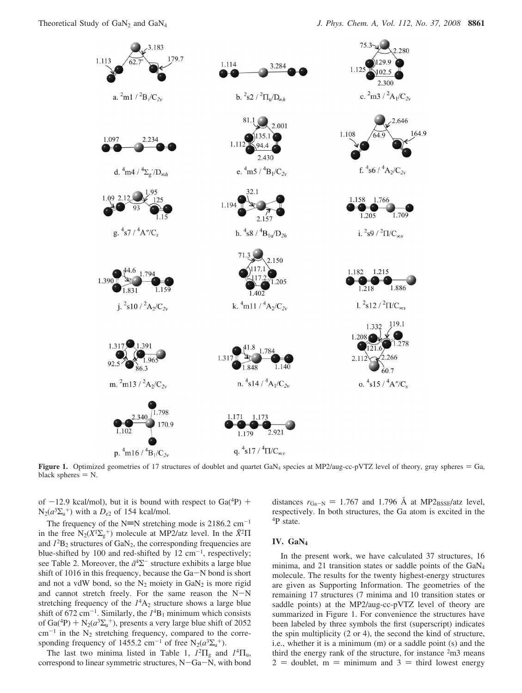

**Figure 1.** Optimized geometries of 17 structures of doublet and quartet GaN<sub>4</sub> species at MP2/aug-cc-pVTZ level of theory, gray spheres  $=$  Ga, black spheres  $= N$ .

of  $-12.9$  kcal/mol), but it is bound with respect to Ga( $^{4}P$ ) +  $N_2(a^3\Sigma_u^+)$  with a  $D_{e2}$  of 154 kcal/mol.

The frequency of the N=N stretching mode is  $2186.2 \text{ cm}^{-1}$ in the free  $N_2(X^1\Sigma_g^+)$  molecule at MP2/atz level. In the  $\tilde{X}^2\Pi$ and  $I^2B_2$  structures of  $GaN_2$ , the corresponding frequencies are blue-shifted by 100 and red-shifted by 12  $cm^{-1}$ , respectively; see Table 2. Moreover, the  $\tilde{a}^4\Sigma^-$  structure exhibits a large blue shift of 1016 in this frequency, because the Ga-N bond is short and not a vdW bond, so the  $N_2$  moiety in  $GaN_2$  is more rigid and cannot stretch freely. For the same reason the  $N-N$ stretching frequency of the  $I<sup>4</sup>A<sub>2</sub>$  structure shows a large blue shift of 672 cm<sup>-1</sup>. Similarly, the  $I<sup>4</sup>B<sub>1</sub>$  minimum which consists of Ga(<sup>4</sup>P) + N<sub>2</sub>( $a^3\Sigma_u^{\text{+}}$ ), presents a very large blue shift of 2052<br>cm<sup>-1</sup> in the N<sub>2</sub> stretching frequency compared to the corre $cm^{-1}$  in the  $N_2$  stretching frequency, compared to the corresponding frequency of 1455.2 cm<sup>-1</sup> of free  $N_2(a^3\Sigma_u^+)$ .

The last two minima listed in Table 1,  $1^2\Pi_g$  and  $1^4\Pi_g$ , correspond to linear symmetric structures, N-Ga-N, with bond distances  $r_{Ga-N} = 1.767$  and 1.796 Å at MP2<sub>BSSE</sub>/atz level, respectively. In both structures, the Ga atom is excited in the 4P state.

## **IV. GaN4**

In the present work, we have calculated 37 structures, 16 minima, and 21 transition states or saddle points of the GaN4 molecule. The results for the twenty highest-energy structures are given as Supporting Information. The geometries of the remaining 17 structures (7 minima and 10 transition states or saddle points) at the MP2/aug-cc-pVTZ level of theory are summarized in Figure 1. For convenience the structures have been labeled by three symbols the first (superscript) indicates the spin multiplicity (2 or 4), the second the kind of structure, i.e., whether it is a minimum (m) or a saddle point (s) and the third the energy rank of the structure, for instance  $2m3$  means  $2 =$  doublet, m = minimum and 3 = third lowest energy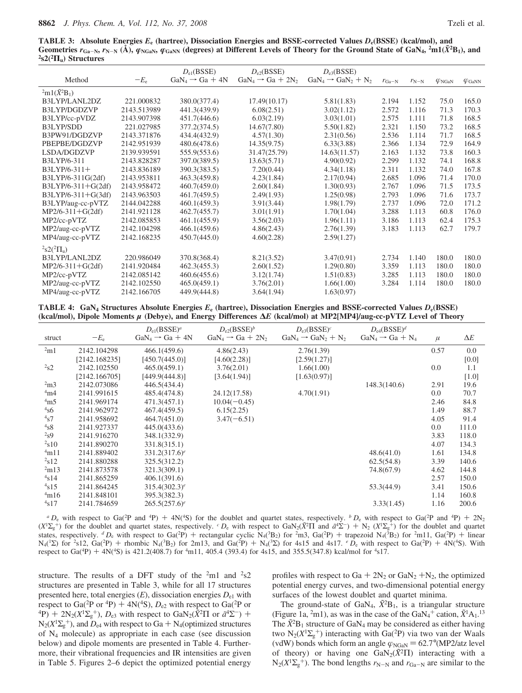**TABLE 3: Absolute Energies** *E***<sup>e</sup> (hartree), Dissociation Energies and BSSE-corrected Values** *D***e(BSSE) (kcal/mol), and** Geometries  $r_{Ga-N}$ ,  $r_{N-N}$  (A),  $\varphi_{NGaN}$ ,  $\varphi_{GaNN}$  (degrees) at Different Levels of Theory for the Ground State of GaN<sub>4</sub>, <sup>2</sup>m1(X<sup>2</sup>B<sub>1</sub>), and <sup>2</sup>s2(<sup>2</sup> $\Pi_u$ ) Structures

|                              |              | $D_{\rm el}$ (BSSE)         | $D_{e2}$ (BSSE)               | $D_{e3}(BSSE)$                  |                   |           |                         |                         |
|------------------------------|--------------|-----------------------------|-------------------------------|---------------------------------|-------------------|-----------|-------------------------|-------------------------|
| Method                       | $-E_{\rm e}$ | $GaN_4 \rightarrow Ga + 4N$ | $GaN_4 \rightarrow Ga + 2N_2$ | $GaN_4 \rightarrow GaN_2 + N_2$ | $r_{\text{Ga-N}}$ | $r_{N-N}$ | $\varphi_{\text{NGaN}}$ | $\varphi_{\text{GaNN}}$ |
| $^{2}m1(\tilde{X}^{2}B_{1})$ |              |                             |                               |                                 |                   |           |                         |                         |
| B3LYP/LANL2DZ                | 221.000832   | 380.0(377.4)                | 17.49(10.17)                  | 5.81(1.83)                      | 2.194             | 1.152     | 75.0                    | 165.0                   |
| B3LYP/DGDZVP                 | 2143.513989  | 441.3(439.9)                | 6.08(2.51)                    | 3.02(1.12)                      | 2.572             | 1.116     | 71.3                    | 170.3                   |
| B3LYP/cc-pVDZ                | 2143.907398  | 451.7(446.6)                | 6.03(2.19)                    | 3.03(1.01)                      | 2.575             | 1.111     | 71.8                    | 168.5                   |
| B3LYP/SDD                    | 221.027985   | 377.2(374.5)                | 14.67(7.80)                   | 5.50(1.82)                      | 2.321             | 1.150     | 73.2                    | 168.5                   |
| B3PW91/DGDZVP                | 2143.371876  | 434.4(432.9)                | 4.57(1.30)                    | 2.31(0.56)                      | 2.536             | 1.114     | 71.7                    | 168.5                   |
| PBEPBE/DGDZVP                | 2142.951939  | 480.6(478.6)                | 14.35(9.75)                   | 6.33(3.88)                      | 2.366             | 1.134     | 72.9                    | 164.9                   |
| LSDA/DGDZVP                  | 2139.939591  | 555.9(553.6)                | 31.47(25.79)                  | 14.63(11.57)                    | 2.163             | 1.132     | 73.8                    | 160.3                   |
| B3LYP/6-311                  | 2143.828287  | 397.0(389.5)                | 13.63(5.71)                   | 4.90(0.92)                      | 2.299             | 1.132     | 74.1                    | 168.8                   |
| $B3LYP/6-311+$               | 2143.836189  | 390.3(383.5)                | 7.20(0.44)                    | 4.34(1.18)                      | 2.311             | 1.132     | 74.0                    | 167.8                   |
| B3LYP/6-311G(2df)            | 2143.953811  | 463.3(459.8)                | 4.23(1.84)                    | 2.17(0.94)                      | 2.685             | 1.096     | 71.4                    | 170.0                   |
| $B3LYP/6-311+G(2df)$         | 2143.958472  | 460.7(459.0)                | 2.60(1.84)                    | 1.30(0.93)                      | 2.767             | 1.096     | 71.5                    | 173.5                   |
| B3LYP/6-311+G(3df)           | 2143.963503  | 461.7(459.5)                | 2.49(1.93)                    | 1.25(0.98)                      | 2.793             | 1.096     | 71.6                    | 173.7                   |
| B3LYP/aug-cc-pVTZ            | 2144.042288  | 460.1(459.3)                | 3.91(3.44)                    | 1.98(1.79)                      | 2.737             | 1.096     | 72.0                    | 171.2                   |
| $MP2/6-311+G(2df)$           | 2141.921128  | 462.7(455.7)                | 3.01(1.91)                    | 1.70(1.04)                      | 3.288             | 1.113     | 60.8                    | 176.0                   |
| MP2/cc-pVTZ                  | 2142.085853  | 461.1(455.9)                | 3.56(2.03)                    | 1.96(1.11)                      | 3.186             | 1.113     | 62.4                    | 175.3                   |
| MP2/aug-cc-pVTZ              | 2142.104298  | 466.1(459.6)                | 4.86(2.43)                    | 2.76(1.39)                      | 3.183             | 1.113     | 62.7                    | 179.7                   |
| MP4/aug-cc-pVTZ              | 2142.168235  | 450.7(445.0)                | 4.60(2.28)                    | 2.59(1.27)                      |                   |           |                         |                         |
| $^{2}S2(^{2}\Pi_{\rm u})$    |              |                             |                               |                                 |                   |           |                         |                         |
| B3LYP/LANL2DZ                | 220.986049   | 370.8(368.4)                | 8.21(3.52)                    | 3.47(0.91)                      | 2.734             | 1.140     | 180.0                   | 180.0                   |
| $MP2/6-311+G(2df)$           | 2141.920484  | 462.3(455.3)                | 2.60(1.52)                    | 1.29(0.80)                      | 3.359             | 1.113     | 180.0                   | 180.0                   |
| MP2/cc-pVTZ                  | 2142.085142  | 460.6(455.6)                | 3.12(1.74)                    | 1.51(0.83)                      | 3.285             | 1.113     | 180.0                   | 180.0                   |
| MP2/aug-cc-pVTZ              | 2142.102550  | 465.0(459.1)                | 3.76(2.01)                    | 1.66(1.00)                      | 3.284             | 1.114     | 180.0                   | 180.0                   |
| MP4/aug-cc-pVTZ              | 2142.166705  | 449.9(444.8)                | 3.64(1.94)                    | 1.63(0.97)                      |                   |           |                         |                         |

**TABLE 4: GaN4 Structures Absolute Energies** *E***<sup>e</sup> (hartree), Dissociation Energies and BSSE-corrected Values** *D***e(BSSE) (kcal/mol), Dipole Moments** *µ* **(Debye), and Energy Differences ∆***E* **(kcal/mol) at MP2[MP4]/aug-cc-pVTZ Level of Theory**

|                   |               | $D_{e1}$ (BSSE) <sup>a</sup> | $D_{e2}(\text{BSSE})^b$       | $D_{e3}(\text{BSSE})^c$         | $D_{\rm e4}$ (BSSE) <sup>d</sup> |       |            |
|-------------------|---------------|------------------------------|-------------------------------|---------------------------------|----------------------------------|-------|------------|
| struct            | $-E_e$        | $GaN_4 \rightarrow Ga + 4N$  | $GaN_4 \rightarrow Ga + 2N_2$ | $GaN_4 \rightarrow GaN_2 + N_2$ | $GaN_4 \rightarrow Ga + N_4$     | $\mu$ | $\Delta E$ |
| 2m1               | 2142.104298   | 466.1(459.6)                 | 4.86(2.43)                    | 2.76(1.39)                      |                                  | 0.57  | 0.0        |
|                   | [2142.168235] | [450.7(445.0)]               | [4.60(2.28)]                  | [2.59(1.27)]                    |                                  |       | [0.0]      |
| 2s2               | 2142.102550   | 465.0(459.1)                 | 3.76(2.01)                    | 1.66(1.00)                      |                                  | 0.0   | 1.1        |
|                   | [2142.166705] | [449.9(444.8)]               | [3.64(1.94)]                  | [1.63(0.97)]                    |                                  |       | $[1.0]$    |
| 2m3               | 2142.073086   | 446.5(434.4)                 |                               |                                 | 148.3(140.6)                     | 2.91  | 19.6       |
| 4m4               | 2141.991615   | 485.4(474.8)                 | 24.12(17.58)                  | 4.70(1.91)                      |                                  | 0.0   | 70.7       |
| 4m5               | 2141.969174   | 471.3(457.1)                 | $10.04(-0.45)$                |                                 |                                  | 2.46  | 84.8       |
| 4s6               | 2141.962972   | 467.4(459.5)                 | 6.15(2.25)                    |                                 |                                  | 1.49  | 88.7       |
| $\mathrm{^{4}s7}$ | 2141.958692   | 464.7(451.0)                 | $3.47(-6.51)$                 |                                 |                                  | 4.05  | 91.4       |
| 4s8               | 2141.927337   | 445.0(433.6)                 |                               |                                 |                                  | 0.0   | 111.0      |
| $2_{\rm s}9$      | 2141.916270   | 348.1(332.9)                 |                               |                                 |                                  | 3.83  | 118.0      |
| $^{2}$ s10        | 2141.890270   | 331.8(315.1)                 |                               |                                 |                                  | 4.07  | 134.3      |
| 4m11              | 2141.889402   | $331.2(317.6)^e$             |                               |                                 | 48.6(41.0)                       | 1.61  | 134.8      |
| 2s12              | 2141.880288   | 325.5(312.2)                 |                               |                                 | 62.5(54.8)                       | 3.39  | 140.6      |
| 2m13              | 2141.873578   | 321.3(309.1)                 |                               |                                 | 74.8(67.9)                       | 4.62  | 144.8      |
| $^{4}$ s14        | 2141.865259   | 406.1(391.6)                 |                               |                                 |                                  | 2.57  | 150.0      |
| 4s15              | 2141.864245   | $315.4(302.3)^e$             |                               |                                 | 53.3(44.9)                       | 3.41  | 150.6      |
| 4m16              | 2141.848101   | 395.3(382.3)                 |                               |                                 |                                  | 1.14  | 160.8      |
| $^{4}$ s17        | 2141.784659   | $265.5(257.6)^e$             |                               |                                 | 3.33(1.45)                       | 1.16  | 200.6      |

 $a_D^a$  with respect to Ga(<sup>2</sup>P and <sup>4</sup>P) + 4N(<sup>4</sup>S) for the doublet and quartet states, respectively. <sup>*b*</sup>  $D_c$  with respect to Ga(<sup>2</sup>P and <sup>4</sup>P) + 2N<sub>2</sub><br> $\sum_{i=1}^{n}$  for the doublet and quartet states, respectively. *<sup>c*</sup>  $(X^1\Sigma_g^+)$  for the doublet and quartet states, respectively. *<sup>c</sup>D*e with respect to GaN<sub>2</sub>( $\tilde{X}^2\Pi$  and  $\tilde{a}^{4}\Sigma^-$ ) + N<sub>2</sub> ( $X^1\Sigma_g^+$ ) for the doublet and quartet states respectively *dD*, with respect to Ga( ${}^{2$ states, respectively. <sup>*d*</sup>  $D_e$  with respect to Ga(<sup>2</sup>P) + rectangular cyclic N<sub>4</sub>(<sup>3</sup>B<sub>2</sub>) for <sup>2</sup>m3, Ga(<sup>2</sup>P) + trapezoid N<sub>4</sub>(<sup>3</sup>B<sub>2</sub>) for <sup>2</sup>m11, Ga(<sup>2</sup>P) + linear<br>N<sub>4</sub>(<sup>1</sup>) for <sup>2</sup>s12, Ga(<sup>2</sup>P) + rhombic N<sub>4</sub><sup>3</sup>B<sub>2</sub>  $N_4(1\Sigma)$  for <sup>2</sup>s12, Ga(<sup>2</sup>P) + rhombic  $N_4(3B_2)$  for 2m13, and Ga(<sup>2</sup>P) +  $N_4(3\Sigma)$  for 4s15 and 4s17. *e D*<sub>e</sub> with respect to Ga(<sup>2</sup>P) + 4N(<sup>4</sup>S). With respect to Ga(<sup>2</sup>P) + 4N(<sup>4</sup>S). With respect to Ga(<sup>4</sup>P) + 4N(<sup>4</sup>S) is 421.2(408.7) for <sup>4</sup>m11, 405.4 (393.4) for 4s15, and 355.5(347.8) kcal/mol for <sup>4</sup>s17.

structure. The results of a DFT study of the  $2 \text{ m}1$  and  $2 \text{s}2$ structures are presented in Table 3, while for all 17 structures presented here, total energies  $(E)$ , dissociation energies  $D_{e1}$  with respect to Ga(<sup>2</sup>P or <sup>4</sup>P) + 4N(<sup>4</sup>S),  $D_{e2}$  with respect to Ga(<sup>2</sup>P or  $\tilde{a}^4\Sigma^-$ ) +  $2N_2(X^1\Sigma_g^+)$ ,  $D_{e3}$  with respect to GaN<sub>2</sub>( $\tilde{X}^2\Pi$  or  $\tilde{a}^4\Sigma^-$ ) +  $N_2(Y^1\Sigma_s^+)$  and  $D_s$  with respect to Ga + N<sub>4</sub>(  $N_2(X^1\Sigma_g^+)$ , and  $D_{e4}$  with respect to Ga +  $N_4$ (optimized structures of N<sub>t</sub> molecule) as appropriate in each case (see discussion of N4 molecule) as appropriate in each case (see discussion below) and dipole moments are presented in Table 4. Furthermore, their vibrational frequencies and IR intensities are given in Table 5. Figures 2–6 depict the optimized potential energy

profiles with respect to  $Ga + 2N_2$  or  $GaN_2 + N_2$ , the optimized potential energy curves, and two-dimensional potential energy surfaces of the lowest doublet and quartet minima.

The ground-state of GaN<sub>4</sub>,  $\tilde{X}$ <sup>2</sup>B<sub>1</sub>, is a triangular structure (Figure 1a, <sup>2</sup>m1), as was in the case of the  $GaN_4$ <sup>+</sup> cation,  $\tilde{X}$ <sup>1</sup>A<sub>1</sub>.<sup>13</sup> The  $\tilde{X}^2B_1$  structure of GaN<sub>4</sub> may be considered as either having two  $N_2(X^1\Sigma_g^+)$  interacting with Ga(<sup>2</sup>P) via two van der Waals (vdW) bonds which form an angle  $\varphi_{\text{NGaN}} = 62.7^{\circ}(\text{MP2}/\text{atz level})$ <br>of theory) or having one  $\text{GM}_2(\tilde{Y}^2\Pi)$  interacting with a of theory) or having one  $\text{GaN}_2(\tilde{X}^2\Pi)$  interacting with a  $N_2(X^1\Sigma_g^+)$ . The bond lengths  $r_{N-N}$  and  $r_{Ga-N}$  are similar to the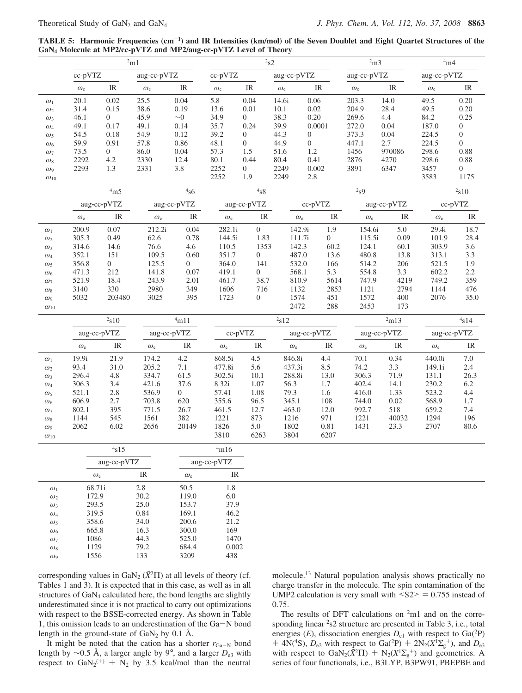**TABLE 5: Harmonic Frequencies (cm**-**1) and IR Intensities (km/mol) of the Seven Doublet and Eight Quartet Structures of the GaN4 Molecule at MP2/cc-pVTZ and MP2/aug-cc-pVTZ Level of Theory**

|               |                  | 2m1                               | 2s2              |                                   |                  |                                   | 2m3              |                  | 4m4                               |                  |                                   |                  |                                   |
|---------------|------------------|-----------------------------------|------------------|-----------------------------------|------------------|-----------------------------------|------------------|------------------|-----------------------------------|------------------|-----------------------------------|------------------|-----------------------------------|
|               | cc-pVTZ          |                                   | aug-cc-pVTZ      |                                   | cc-pVTZ          |                                   |                  | aug-cc-pVTZ      |                                   | aug-cc-pVTZ      |                                   | aug-cc-pVTZ      |                                   |
|               | $\omega_{\rm e}$ | IR                                | $\omega_{\rm e}$ | $\ensuremath{\mathsf{IR}}\xspace$ | $\omega_{e}$     | IR                                | $\omega_{\rm e}$ |                  | IR                                | $\omega_{\rm e}$ | IR                                | $\omega_{\rm e}$ | IR                                |
| $\omega_1$    | 20.1             | 0.02                              | 25.5             | 0.04                              | 5.8              | 0.04                              | 14.6i            | 0.06             |                                   | 203.3            | 14.0                              | 49.5             | 0.20                              |
| $\omega_2$    | 31.4             | 0.15                              | 38.6             | 0.19                              | 13.6             | 0.01                              | 10.1             | 0.02             |                                   | 204.9            | 28.4                              | 49.5             | 0.20                              |
| $\omega_3$    | 46.1             | $\overline{0}$                    | 45.9             | $\sim\!\!0$                       | 34.9             | $\boldsymbol{0}$                  | 38.3             | 0.20             |                                   | 269.6            | 4.4                               | 84.2             | 0.25                              |
| $\omega_4$    | 49.1             | 0.17                              | 49.1             | 0.14                              | 35.7             | 0.24                              | 39.9             |                  | 0.0001                            | 272.0            | 0.04                              | 187.0            | $\mathbf{0}$                      |
| $\omega_5$    | 54.5             | 0.18                              | 54.9             | 0.12                              | 39.2             | $\boldsymbol{0}$                  | 44.3             | $\boldsymbol{0}$ |                                   | 373.3            | 0.04                              | 224.5            | $\boldsymbol{0}$                  |
| $\omega_6$    | 59.9             | 0.91                              | 57.8             | 0.86                              | 48.1             | $\overline{0}$                    | 44.9             | $\overline{0}$   |                                   | 447.1            | 2.7                               | 224.5            | $\overline{0}$                    |
| $\omega_7$    | 73.5             | $\overline{0}$                    | 86.0             | 0.04                              | 57.3             | 1.5                               | 51.6             | 1.2              |                                   | 1456             | 970086                            | 298.6            | 0.88                              |
| $\omega_8$    | 2292             | 4.2                               | 2330             | 12.4                              | 80.1             | 0.44                              | 80.4             | 0.41             |                                   | 2876             | 4270                              | 298.6            | 0.88                              |
| $\omega_9$    | 2293             | 1.3                               | 2331             | 3.8                               | 2252             | $\boldsymbol{0}$                  | 2249             |                  | 0.002                             | 3891             | 6347                              | 3457             | $\overline{0}$                    |
| $\omega_{10}$ |                  |                                   |                  |                                   | 2252             | 1.9                               | 2249             | 2.8              |                                   |                  |                                   | 3583             | 1175                              |
|               |                  | 4m5                               |                  | 4s6                               |                  | $\rm ^4s8$                        |                  |                  |                                   | 2 <sub>S</sub> 9 |                                   | 2s10             |                                   |
|               |                  | aug-cc-pVTZ                       |                  | aug-cc-pVTZ                       |                  | aug-cc-pVTZ                       |                  |                  | cc-pVTZ                           |                  | aug-cc-pVTZ                       |                  | cc-pVTZ                           |
|               | $\omega_{\rm e}$ | $\ensuremath{\mathsf{IR}}\xspace$ | $\omega_{\rm e}$ | IR                                | $\omega_{\rm e}$ | IR                                |                  | $\omega_{\rm e}$ | $\ensuremath{\mathsf{IR}}\xspace$ | $\omega_{\rm e}$ | IR                                | $\omega_{\rm e}$ | $\ensuremath{\mathsf{IR}}\xspace$ |
| $\omega_1$    | 200.9            | 0.07                              | 212.2i           | 0.04                              | 282.1i           | $\boldsymbol{0}$                  |                  | 142.9i           | 1.9                               | 154.6i           | 5.0                               | 29.4i            | 18.7                              |
| $\omega_2$    | 305.3            | 0.49                              | 62.6             | 0.78                              | 144.5i           | 1.83                              |                  | 111.7i           | $\overline{0}$                    | 115.5i           | 0.09                              | 101.9            | 28.4                              |
| $\omega_3$    | 314.6            | 14.6                              | 76.6             | 4.6                               | 110.5            | 1353                              |                  | 142.3            | 60.2                              | 124.1            | 60.1                              | 303.9            | 3.6                               |
| $\omega_4$    | 352.1            | 151                               | 109.5            | 0.60                              | 351.7            | $\overline{0}$                    |                  | 487.0            | 13.6                              | 480.8            | 13.8                              | 313.1            | 3.3                               |
| $\omega_5$    | 356.8            | $\boldsymbol{0}$                  | 125.5            | $\overline{0}$                    | 364.0            | 141                               |                  | 532.0            | 166                               | 514.2            | 206                               | 521.5            | 1.9                               |
| $\omega_6$    | 471.3            | 212                               | 141.8            | 0.07                              | 419.1            | $\overline{0}$                    |                  | 568.1            | 5.3                               | 554.8            | 3.3                               | 602.2            | 2.2                               |
| $\omega_7$    | 521.9            | 18.4                              | 243.9            | 2.01                              | 461.7            | 38.7                              |                  | 810.9            | 5614                              | 747.9            | 4219                              | 749.2            | 359                               |
| $\omega_8$    | 3140             | 330                               | 2980             | 349                               | 1606             | 716                               |                  | 1132             | 2853                              | 1121             | 2794                              | 1144             | 476                               |
| $\omega_9$    | 5032             | 203480                            | 3025             | 395                               | 1723             | $\boldsymbol{0}$                  |                  | 1574<br>2472     | 451<br>288                        | 1572<br>2453     | 400<br>173                        | 2076             | 35.0                              |
| $\omega_{10}$ |                  |                                   |                  |                                   |                  |                                   |                  |                  |                                   |                  |                                   |                  |                                   |
|               |                  | 2s10                              |                  | 4m11                              |                  |                                   | 2s12             |                  |                                   |                  | 2m13                              | 4s14             |                                   |
|               |                  | aug-cc-pVTZ                       |                  | aug-cc-pVTZ                       |                  | cc-pVTZ                           |                  | aug-cc-pVTZ      |                                   |                  | aug-cc-pVTZ                       | aug-cc-pVTZ      |                                   |
|               | $\omega_{e}$     | IR                                | $\omega_{\rm e}$ | $\ensuremath{\mathsf{IR}}\xspace$ | $\omega_{\rm e}$ | $\ensuremath{\mathsf{IR}}\xspace$ |                  | $\omega_{\rm e}$ | IR                                | $\omega_{\rm e}$ | $\ensuremath{\mathsf{IR}}\xspace$ | $\omega_{\rm e}$ | $\ensuremath{\mathsf{IR}}\xspace$ |
| $\omega_1$    | 19.9i            | 21.9                              | 174.2            | 4.2                               | 868.5i           | 4.5                               |                  | 846.8i           | 4.4                               | 70.1             | 0.34                              | 440.0i           | 7.0                               |
| $\omega_2$    | 93.4             | 31.0                              | 205.2            | 7.1                               | 477.8i           | 5.6                               |                  | 437.3i           | 8.5                               | 74.2             | 3.3                               | 149.1i           | 2.4                               |
| $\omega_3$    | 296.4            | 4.8                               | 334.7            | 61.5                              | 302.5i           | 10.1                              |                  | 288.8i           | 13.0                              | 306.3            | 71.9                              | 131.1            | 26.3                              |
| $\omega_4$    | 306.3            | 3.4                               | 421.6            | 37.6                              | 8.32i            | 1.07                              | 56.3             |                  | 1.7                               | 402.4            | 14.1                              | 230.2            | 6.2                               |
| $\omega_5$    | 521.1            | 2.8                               | 536.9            | $\overline{0}$                    | 57.41            | 1.08                              | 79.3             |                  | 1.6                               | 416.0            | 1.33                              | 523.2            | 4.4                               |
| $\omega_6$    | 606.9            | 2.7                               | 703.8            | 620                               | 355.6            | 96.5                              |                  | 345.1            | 108                               | 744.0            | 0.02                              | 568.9            | 1.7                               |
| $\omega_7$    | 802.1            | 395                               | 771.5            | 26.7                              | 461.5            | 12.7                              |                  | 463.0            | 12.0                              | 992.7            | 518                               | 659.2            | 7.4                               |
| $\omega_8$    | 1144             | 545                               | 1561             | 382                               | 1221             | 873                               |                  | 1216             | 971                               | 1221             | 40032                             | 1294             | 196                               |
| $\omega_9$    | 2062             | 6.02                              | 2656             | 20149                             | 1826             | 5.0                               |                  | 1802             | 0.81                              | 1431             | 23.3                              | 2707             | 80.6                              |
| $\omega_{10}$ |                  |                                   |                  |                                   | 3810             | 6263                              |                  | 3804             | 6207                              |                  |                                   |                  |                                   |
|               |                  | 4s15                              |                  |                                   | 4m16             |                                   |                  |                  |                                   |                  |                                   |                  |                                   |
|               |                  | aug-cc-pVTZ                       |                  |                                   | aug-cc-pVTZ      |                                   |                  |                  |                                   |                  |                                   |                  |                                   |

|              | $aug-cc-pV1Z$    |      |                  | aug-cc- $pV1Z$ |
|--------------|------------------|------|------------------|----------------|
|              | $\omega_{\rm e}$ | IR   | $\omega_{\rm e}$ | IR             |
| $\omega_1$   | 68.71i           | 2.8  | 50.5             | 1.8            |
| $\omega_2$   | 172.9            | 30.2 | 119.0            | 6.0            |
| $\omega_3$   | 293.5            | 25.0 | 153.7            | 37.9           |
| $\omega_4$   | 319.5            | 0.84 | 169.1            | 46.2           |
| $\omega_5$   | 358.6            | 34.0 | 200.6            | 21.2           |
| $\omega_6$   | 665.8            | 16.3 | 300.0            | 169            |
| $\omega_7$   | 1086             | 44.3 | 525.0            | 1470           |
| $\omega_{8}$ | 1129             | 79.2 | 684.4            | 0.002          |
| $\omega_{9}$ | 1556             | 133  | 3209             | 438            |
|              |                  |      |                  |                |

corresponding values in  $GaN_2 (\tilde{X}^2 \Pi)$  at all levels of theory (cf. Tables 1 and 3). It is expected that in this case, as well as in all structures of GaN<sub>4</sub> calculated here, the bond lengths are slightly underestimated since it is not practical to carry out optimizations with respect to the BSSE-corrected energy. As shown in Table 1, this omission leads to an underestimation of the Ga-N bond length in the ground-state of  $GaN_2$  by 0.1 Å.

It might be noted that the cation has a shorter  $r_{Ga-N}$  bond length by ∼0.5 Å, a larger angle by 9°, and a larger *D*e3 with respect to  $\text{GaN}_2^{(+)} + \text{N}_2$  by 3.5 kcal/mol than the neutral

molecule.13 Natural population analysis shows practically no charge transfer in the molecule. The spin contamination of the UMP2 calculation is very small with  $\leq S2 \geq 0.755$  instead of 0.75.

The results of DFT calculations on  $2ml$  and on the corresponding linear <sup>2</sup>s2 structure are presented in Table 3, i.e., total energies ( $E$ ), dissociation energies  $D_{e1}$  with respect to  $Ga(^{2}P)$ + 4N(<sup>4</sup>S),  $D_{e2}$  with respect to Ga(<sup>2</sup>P) + 2N<sub>2</sub>( $X^1\Sigma_g^+$ ), and  $D_{e3}$ <br>with respect to GaN<sub>2</sub>( $\tilde{X}^2\Pi$ ) + N<sub>2</sub>( $X^1\Sigma_f^+$ ) and geometries. A with respect to  $\text{Gal}_2(\hat{X}^2\Pi) + \text{N}_2(X^1\Sigma_g^+)$  and geometries. A series of four functionals i.e. B3I VP B3PW91. PREPRE and series of four functionals, i.e., B3LYP, B3PW91, PBEPBE and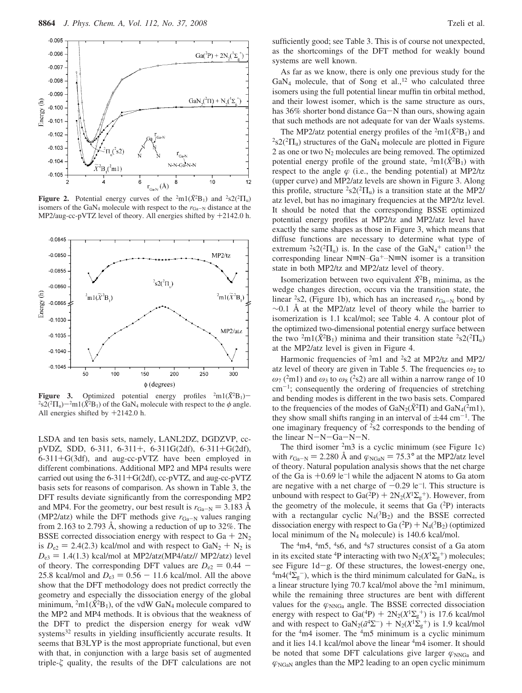

**Figure 2.** Potential energy curves of the  $^2$ m1( $\tilde{X}$ <sup>2</sup>B<sub>1</sub>) and  $^2$ s2( $^2$  $\Pi_u$ ) isomers of the GaN<sub>4</sub> molecule with respect to the  $r_{Ga-N}$  distance at the MP2/aug-cc-pVTZ level of theory. All energies shifted by +2142.0 h.



**Figure 3.** Optimized potential energy profiles  ${}^{2}m1(\tilde{X}^{2}B_{1})$  $s2(^{2}\Pi_{u})$ <sup>-2</sup>m1( $\hat{X}^{2}B_{1}$ ) of the GaN<sub>4</sub> molecule with respect to the  $\phi$  angle.<br>All energies shifted by  $+2142.0$  b All energies shifted by +2142.0 h.

LSDA and ten basis sets, namely, LANL2DZ, DGDZVP, ccpVDZ, SDD, 6-311, 6-311+, 6-311G(2df), 6-311+G(2df), 6-311+G(3df), and aug-cc-pVTZ have been employed in different combinations. Additional MP2 and MP4 results were carried out using the  $6-311+G(2df)$ , cc-pVTZ, and aug-cc-pVTZ basis sets for reasons of comparison. As shown in Table 3, the DFT results deviate significantly from the corresponding MP2 and MP4. For the geometry, our best result is  $r_{Ga-N} = 3.183$  Å (MP2/atz) while the DFT methods give  $r_{Ga-N}$  values ranging from 2.163 to 2.793 Å, showing a reduction of up to 32%. The BSSE corrected dissociation energy with respect to  $Ga + 2N_2$ is  $D_{e2} = 2.4(2.3)$  kcal/mol and with respect to  $GaN_2 + N_2$  is  $D_{e3} = 1.4(1.3)$  kcal/mol at MP2/atz(MP4/atz// MP2/atz) level of theory. The corresponding DFT values are  $D_{e2} = 0.44$  – 25.8 kcal/mol and  $D_{e3} = 0.56 - 11.6$  kcal/mol. All the above show that the DFT methodology does not predict correctly the geometry and especially the dissociation energy of the global minimum,  $^{2}$ m1( $\tilde{X}$ <sup>2</sup>B<sub>1</sub>), of the vdW GaN<sub>4</sub> molecule compared to the MP2 and MP4 methods. It is obvious that the weakness of the DFT to predict the dispersion energy for weak vdW systems<sup>32</sup> results in yielding insufficiently accurate results. It seems that B3LYP is the most appropriate functional, but even with that, in conjunction with a large basis set of augmented triple- $\zeta$  quality, the results of the DFT calculations are not

sufficiently good; see Table 3. This is of course not unexpected, as the shortcomings of the DFT method for weakly bound systems are well known.

As far as we know, there is only one previous study for the  $GaN<sub>4</sub>$  molecule, that of Song et al.,<sup>12</sup> who calculated three isomers using the full potential linear muffin tin orbital method, and their lowest isomer, which is the same structure as ours, has 36% shorter bond distance Ga-N than ours, showing again that such methods are not adequate for van der Waals systems.

The MP2/atz potential energy profiles of the  $2m1(\bar{X}^2B_1)$  and  $2s2(2\Pi_u)$  structures of the GaN<sub>4</sub> molecule are plotted in Figure 2 as one or two  $N_2$  molecules are being removed. The optimized potential energy profile of the ground state,  $^{2}$ m1( $\tilde{X}^{2}$ B<sub>1</sub>) with respect to the angle  $\varphi$  (i.e., the bending potential) at MP2/tz (upper curve) and MP2/atz levels are shown in Figure 3. Along this profile, structure  ${}^{2}S2({}^{2}\Pi_{u})$  is a transition state at the MP2/ atz level, but has no imaginary frequencies at the MP2/tz level. It should be noted that the corresponding BSSE optimized potential energy profiles at MP2/tz and MP2/atz level have exactly the same shapes as those in Figure 3, which means that diffuse functions are necessary to determine what type of extremum  ${}^{2}S2({}^{2}\Pi_{u})$  is. In the case of the  $GaN_{4}^{+}$  cation<sup>13</sup> the corresponding linear  $N=N$ ... $Ga^{+}N=N$  isomer is a transition state in both MP2/tz and MP2/atz level of theory.

Isomerization between two equivalent  $\tilde{X}^2B_1$  minima, as the wedge changes direction, occurs via the transition state, the linear  ${}^{2}S2$ , (Figure 1b), which has an increased  $r_{Ga-N}$  bond by  $~\sim$ 0.1 Å at the MP2/atz level of theory while the barrier to isomerization is 1.1 kcal/mol; see Table 4. A contour plot of the optimized two-dimensional potential energy surface between the two <sup>2</sup>m1( $\tilde{X}$ <sup>2</sup>B<sub>1</sub>) minima and their transition state <sup>2</sup>s2(<sup>2</sup> $\Pi$ <sub>u</sub>) at the MP2/atz level is given in Figure 4.

Harmonic frequencies of <sup>2</sup>m1 and <sup>2</sup>s2 at MP2/tz and MP2/ atz level of theory are given in Table 5. The frequencies  $\omega_2$  to  $ω_7$  (<sup>2</sup>m1) and  $ω_3$  to  $ω_8$  (<sup>2</sup>s2) are all within a narrow range of 10  $cm^{-1}$ ; consequently the ordering of frequencies of stretching and bending modes is different in the two basis sets. Compared to the frequencies of the modes of  $\text{GaN}_2(\tilde{X}^2\Pi)$  and  $\text{GaN}_4(\tilde{Y}^2\Pi)$ , they show small shifts ranging in an interval of  $\pm$ 44 cm<sup>-1</sup>. The one imaginary frequency of  $2s2$  corresponds to the bending of the linear N-N-Ga-N-N.

The third isomer  $2m3$  is a cyclic minimum (see Figure 1c) with  $r_{Ga-N} = 2.280$  Å and  $\varphi_{NGaN} = 75.3^\circ$  at the MP2/atz level of theory. Natural population analysis shows that the net charge of theory. Natural population analysis shows that the net charge of the Ga is  $+0.69$   $|e^-|$  while the adjacent N atoms to Ga atom are negative with a net charge of  $-0.29$  |e<sup>-</sup>|. This structure is unbound with respect to  $Ga(^{2}P) + 2N_2(X^{1}\Sigma_g^{+})$ . However, from<br>the geometry of the molecule it seems that  $Ga^{2}P$  interacts the geometry of the molecule, it seems that Ga  $(^{2}P)$  interacts with a rectangular cyclic  $N_4(^3B_2)$  and the BSSE corrected dissociation energy with respect to Ga  $(^{2}P) + N_{4}(^{3}B_{2})$  (optimized local minimum of the  $N_4$  molecule) is 140.6 kcal/mol.

The <sup>4</sup>m4, <sup>4</sup>m5, <sup>4</sup>s6, and <sup>4</sup>s7 structures consist of a Ga atom in its excited state <sup>4</sup>P interacting with two  $N_2(X^1\Sigma_g^+)$  molecules; see Figure 1d-g. Of these structures, the lowest-energy one,  $\rm{4m4(4\Sigma_{g}^{-})}$ , which is the third minimum calculated for GaN<sub>4</sub>, is a linear structure lying 70.7 kcal/mol above the 2m1 minimum, while the remaining three structures are bent with different values for the  $\varphi_{\text{NNGa}}$  angle. The BSSE corrected dissociation energy with respect to  $Ga^{(4P)} + 2N_2(X^1\Sigma_g^+)$  is 17.6 kcal/mol<br>and with respect to  $GaN_2(\vec{a}^4\Sigma^-) + N_2(X^1\Sigma^+)$  is 1.9 kcal/mol and with respect to  $\text{GaN}_2(\tilde{a}^4\Sigma^-) + \text{N}_2(X^1\Sigma_g^+)$  is 1.9 kcal/mol<br>for the <sup>4</sup>m4 isomer. The <sup>4</sup>m5 minimum is a cyclic minimum for the  $4m4$  isomer. The  $4m5$  minimum is a cyclic minimum and it lies 14.1 kcal/mol above the linear <sup>4</sup>m4 isomer. It should be noted that some DFT calculations give larger  $\varphi_{\text{NNGa}}$  and  $\varphi_{\text{NGaN}}$  angles than the MP2 leading to an open cyclic minimum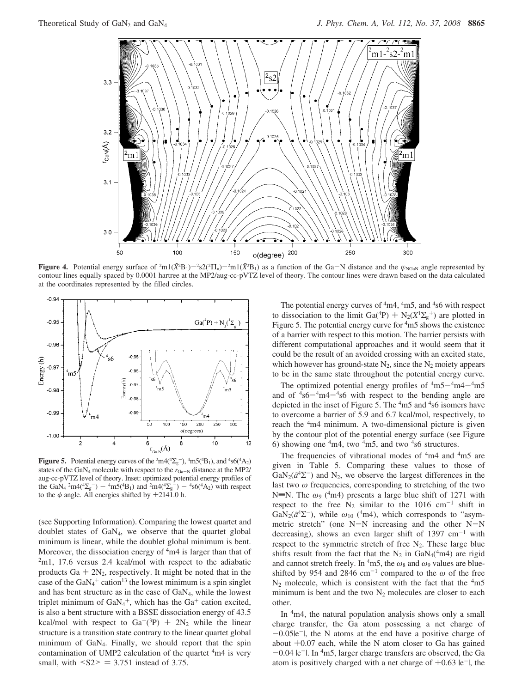

**Figure 4.** Potential energy surface of  ${}^{2}m1(\tilde{X}^{2}B_{1})-{}^{2}s2({}^{2}\Pi_{u})-{}^{2}m1(\tilde{X}^{2}B_{1})$  as a function of the Ga-N distance and the  $\varphi_{\text{NGaN}}$  angle represented by contour lines equally spaced by 0.0001 hartree contour lines equally spaced by 0.0001 hartree at the MP2/aug-cc-pVTZ level of theory. The contour lines were drawn based on the data calculated at the coordinates represented by the filled circles.



**Figure 5.** Potential energy curves of the  $^2$ m4( $^4\Sigma_g^-$ ),  $^4$ m5( $^4$ B<sub>1</sub>), and  $^4$ s6( $^4$ A<sub>2</sub>) states of the GaN<sub>4</sub> molecule with respect to the  $r_{Ga-N}$  distance at the MP2/ aug-cc-pVTZ level of theory. Inset: optimized potential energy profiles of the GaN<sub>4</sub> <sup>2</sup>m4(<sup>4</sup> $\Sigma_{\rm g}$ <sup>-</sup>) - <sup>4</sup>m5(<sup>4</sup>B<sub>1</sub>) and <sup>2</sup>m4(<sup>4</sup> $\Sigma_{\rm g}$ <sup>-</sup>) - <sup>4</sup>s6(<sup>4</sup>A<sub>2</sub>) with respect to the  $\phi$  angle. All energies shifted by +2141.0 b to the  $\phi$  angle. All energies shifted by  $+2141.0$  h.

(see Supporting Information). Comparing the lowest quartet and doublet states of GaN4, we observe that the quartet global minimum is linear, while the doublet global minimum is bent. Moreover, the dissociation energy of  $4m4$  is larger than that of 2m1, 17.6 versus 2.4 kcal/mol with respect to the adiabatic products  $Ga + 2N_2$ , respectively. It might be noted that in the case of the  $GaN_4$ <sup>+</sup> cation<sup>13</sup> the lowest minimum is a spin singlet and has bent structure as in the case of GaN4, while the lowest triplet minimum of  $GaN_4^+$ , which has the  $Ga^+$  cation excited, is also a bent structure with a BSSE dissociation energy of 43.5 kcal/mol with respect to  $Ga^{+}(^{3}P) + 2N_2$  while the linear structure is a transition state contrary to the linear quartet global minimum of GaN4. Finally, we should report that the spin contamination of UMP2 calculation of the quartet <sup>4</sup>m4 is very small, with  $\leq S2 \geq 3.751$  instead of 3.75.

The potential energy curves of  $4m4$ ,  $4m5$ , and  $4s6$  with respect to dissociation to the limit Ga(<sup>4</sup>P) +  $N_2(X^1\Sigma_g^+)$  are plotted in<br>Figure 5. The potential energy curve for <sup>4</sup>m5 shows the existence Figure 5. The potential energy curve for <sup>4</sup>m5 shows the existence of a barrier with respect to this motion. The barrier persists with different computational approaches and it would seem that it could be the result of an avoided crossing with an excited state, which however has ground-state  $N_2$ , since the  $N_2$  moiety appears to be in the same state throughout the potential energy curve.

The optimized potential energy profiles of  $4m5-4m4-4m5$ and of  $4s6-4m4-4s6$  with respect to the bending angle are depicted in the inset of Figure 5. The <sup>4</sup>m5 and <sup>4</sup>s6 isomers have to overcome a barrier of 5.9 and 6.7 kcal/mol, respectively, to reach the <sup>4</sup>m4 minimum. A two-dimensional picture is given by the contour plot of the potential energy surface (see Figure 6) showing one  $4m4$ , two  $4m5$ , and two  $4s6$  structures.

The frequencies of vibrational modes of  $4m4$  and  $4m5$  are given in Table 5. Comparing these values to those of  $\text{GaN}_2(\tilde{a}^4\Sigma^-)$  and N<sub>2</sub>, we observe the largest differences in the last two *ω* frequencies, corresponding to stretching of the two N=N. The  $\omega_9$  (<sup>4</sup>m4) presents a large blue shift of 1271 with respect to the free  $N_2$  similar to the 1016 cm<sup>-1</sup> shift in GaN<sub>2</sub>( $\tilde{a}^4\Sigma^-$ ), while  $\omega_{10}$  (<sup>4</sup>m4), which corresponds to "asymmetric stretch" (one N-N increasing and the other N-<sup>N</sup> decreasing), shows an even larger shift of 1397  $cm^{-1}$  with respect to the symmetric stretch of free  $N_2$ . These large blue shifts result from the fact that the  $N_2$  in  $GaN_4(^4m4)$  are rigid and cannot stretch freely. In  $4m5$ , the  $\omega_8$  and  $\omega_9$  values are blueshifted by 954 and 2846 cm<sup>-1</sup> compared to the  $\omega$  of the free  $N_2$  molecule, which is consistent with the fact that the  $4m5$ minimum is bent and the two  $N_2$  molecules are closer to each other.

In <sup>4</sup>m4, the natural population analysis shows only a small charge transfer, the Ga atom possessing a net charge of  $-0.05$ |e<sup>-</sup>|, the N atoms at the end have a positive charge of about  $+0.07$  each, while the N atom closer to Ga has gained  $-0.04$  le<sup>-</sup>l. In <sup>4</sup>m5, larger charge transfers are observed, the Ga atom is positively charged with a net charge of  $+0.63$   $\text{e}^{-1}$ , the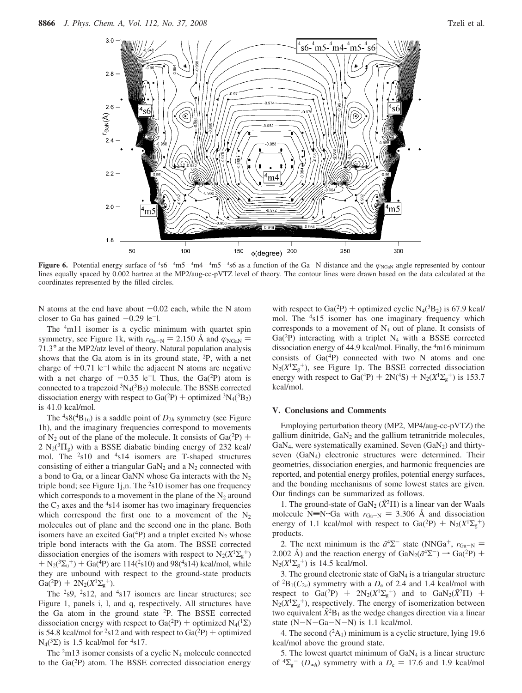

**Figure 6.** Potential energy surface of  ${}^{4}$ s6  $-{}^{4}$ m5 $-{}^{4}$ m5 $-{}^{4}$ s6 as a function of the Ga-N distance and the  $\varphi_{\text{NGaN}}$  angle represented by contour lines equally spaced by 0.002 hartree at the MP2/aug-cc-pVT lines equally spaced by 0.002 hartree at the MP2/aug-cc-pVTZ level of theory. The contour lines were drawn based on the data calculated at the coordinates represented by the filled circles.

N atoms at the end have about  $-0.02$  each, while the N atom closer to Ga has gained  $-0.29$   $|e^{-}|$ .

The <sup>4</sup>m11 isomer is a cyclic minimum with quartet spin symmetry, see Figure 1k, with  $r_{Ga-N} = 2.150$  Å and  $\varphi_{NGaN} =$ symmetry, see Figure 1k, with  $r_{Ga-N} = 2.150$  A and  $\varphi_{NGaN} = 71.3^{\circ}$  at the MP2/atz level of theory. Natural population analysis shows that the Ga atom is in its ground state,  $^{2}P$ , with a net charge of  $+0.71$   $|e^{-}|$  while the adjacent N atoms are negative with a net charge of  $-0.35$  |e<sup>-</sup>|. Thus, the Ga(<sup>2</sup>P) atom is connected to a trapezoid  ${}^{3}N_{4}({}^{3}B_{2})$  molecule. The BSSE corrected dissociation energy with respect to Ga( $^{2}P$ ) + optimized  $^{3}N_{4}$ ( $^{3}B_{2}$ ) is 41.0 kcal/mol.

The  ${}^{4}S({}^{4}B_{1u})$  is a saddle point of  $D_{2h}$  symmetry (see Figure 1h), and the imaginary frequencies correspond to movements of N<sub>2</sub> out of the plane of the molecule. It consists of Ga( $^{2}P$ ) + 2  $N_2(^3\Pi_g)$  with a BSSE diabatic binding energy of 232 kcal/ mol. The <sup>2</sup>s10 and <sup>4</sup>s14 isomers are T-shaped structures consisting of either a triangular  $GaN<sub>2</sub>$  and a  $N<sub>2</sub>$  connected with a bond to Ga, or a linear GaNN whose Ga interacts with the  $N_2$ triple bond; see Figure 1j,n. The  $2s10$  isomer has one frequency which corresponds to a movement in the plane of the  $N_2$  around the  $C_2$  axes and the  $4s14$  isomer has two imaginary frequencies which correspond the first one to a movement of the  $N_2$ molecules out of plane and the second one in the plane. Both isomers have an excited  $Ga(^{4}P)$  and a triplet excited  $N_2$  whose triple bond interacts with the Ga atom. The BSSE corrected dissociation energies of the isomers with respect to  $N_2(X^1\Sigma_g^+)$  $+ N_2(3\Sigma_u^+)+ G_2(4P)$  are 114(<sup>2</sup>s10) and 98(<sup>4</sup>s14) kcal/mol, while<br>they are unbound with respect to the ground-state products they are unbound with respect to the ground-state products  $Ga(^{2}P) + 2N_{2}(X^{1}\Sigma_{g}^{+}).$ <br>The  $^{2}e^{Q}$  and and

The  $2s9$ ,  $2s12$ , and  $4s17$  isomers are linear structures; see Figure 1, panels i, l, and q, respectively. All structures have the Ga atom in the ground state 2P. The BSSE corrected dissociation energy with respect to Ga(<sup>2</sup>P) + optimized N<sub>4</sub>(<sup>1</sup> $\Sigma$ ) is 54.8 kcal/mol for <sup>2</sup>s12 and with respect to  $Ga(^{2}P)$  + optimized N<sub>4</sub>( ${}^{3}\Sigma$ ) is 1.5 kcal/mol for <sup>4</sup>s17.

The  $2m13$  isomer consists of a cyclic N<sub>4</sub> molecule connected to the Ga(2P) atom. The BSSE corrected dissociation energy

with respect to Ga(<sup>2</sup>P) + optimized cyclic N<sub>4</sub>(<sup>3</sup>B<sub>2</sub>) is 67.9 kcal/ mol. The <sup>4</sup>s15 isomer has one imaginary frequency which corresponds to a movement of N4 out of plane. It consists of  $Ga(^{2}P)$  interacting with a triplet N<sub>4</sub> with a BSSE corrected dissociation energy of 44.9 kcal/mol. Finally, the <sup>4</sup>m16 minimum consists of  $Ga(^{4}P)$  connected with two N atoms and one N2(*X*<sup>1</sup>Σ<sup>g</sup> <sup>+</sup>), see Figure 1p. The BSSE corrected dissociation energy with respect to Ga(<sup>4</sup>P) + 2N(<sup>4</sup>S) + N<sub>2</sub>( $X^1\Sigma_g^+$ ) is 153.7<br>kcal/mol kcal/mol.

#### **V. Conclusions and Comments**

Employing perturbation theory (MP2, MP4/aug-cc-pVTZ) the gallium dinitride,  $GaN<sub>2</sub>$  and the gallium tetranitride molecules,  $GaN<sub>4</sub>$ , were systematically examined. Seven  $(GaN<sub>2</sub>)$  and thirtyseven (GaN4) electronic structures were determined. Their geometries, dissociation energies, and harmonic frequencies are reported, and potential energy profiles, potential energy surfaces, and the bonding mechanisms of some lowest states are given. Our findings can be summarized as follows.

1. The ground-state of  $\text{GaN}_2$  ( $\bar{X}^2\Pi$ ) is a linear van der Waals molecule N=N<sup>--</sup>Ga with  $r_{Ga-N} = 3.306$  Å and dissociation energy of 1.1 kcal/mol with respect to Ga(<sup>2</sup>P) + N<sub>2</sub>( $X^1\Sigma_g^+$ ) products.

2. The next minimum is the  $\tilde{a}^4\Sigma^-$  state (NNGa<sup>+</sup>,  $r_{\text{Ga-N}} =$ 2.002 Å) and the reaction energy of  $\text{GaN}_2(\tilde{a}^4\Sigma^-) \rightarrow \text{Ga}(^2P)$  +  $N_2(X^1\Sigma_g^+)$  is 14.5 kcal/mol.

3. The ground electronic state of  $GaN<sub>4</sub>$  is a triangular structure of  ${}^{2}B_{1}(C_{2v})$  symmetry with a  $D_{e}$  of 2.4 and 1.4 kcal/mol with respect to  $Ga(^{2}P)$  +  $2N_{2}(X^{1}\Sigma_{g}^{+})$  and to  $GaN_{2}(\tilde{X}^{2}\Pi)$  +  $N_{2}(X^{1}\Sigma_{g}^{+})$  respectively. The energy of isomerization between  $N_2(X^1\Sigma_g^+)$ , respectively. The energy of isomerization between two equivalent  $\tilde{X}^2B_1$  as the wedge changes direction via a linear state (N-N-Ga-N-N) is 1.1 kcal/mol.

4. The second  $(^{2}A_{1})$  minimum is a cyclic structure, lying 19.6 kcal/mol above the ground state.

5. The lowest quartet minimum of  $GaN<sub>4</sub>$  is a linear structure of  ${}^4\Sigma_g^-$  (*D*<sub>∞*h*</sub>) symmetry with a *D*<sub>e</sub> = 17.6 and 1.9 kcal/mol